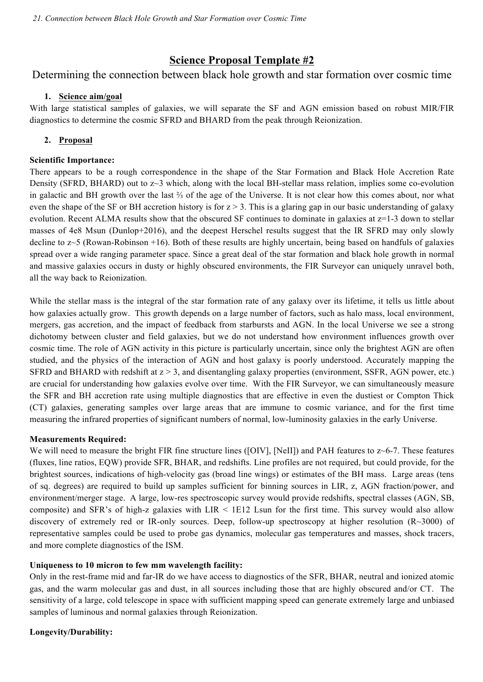# **Science Proposal Template #2**

Determining the connection between black hole growth and star formation over cosmic time

### **1. Science aim/goal**

With large statistical samples of galaxies, we will separate the SF and AGN emission based on robust MIR/FIR diagnostics to determine the cosmic SFRD and BHARD from the peak through Reionization.

# **2. Proposal**

### **Scientific Importance:**

There appears to be a rough correspondence in the shape of the Star Formation and Black Hole Accretion Rate Density (SFRD, BHARD) out to z~3 which, along with the local BH-stellar mass relation, implies some co-evolution in galactic and BH growth over the last ⅔ of the age of the Universe. It is not clear how this comes about, nor what even the shape of the SF or BH accretion history is for  $z > 3$ . This is a glaring gap in our basic understanding of galaxy evolution. Recent ALMA results show that the obscured SF continues to dominate in galaxies at z=1-3 down to stellar masses of 4e8 Msun (Dunlop+2016), and the deepest Herschel results suggest that the IR SFRD may only slowly decline to z~5 (Rowan-Robinson +16). Both of these results are highly uncertain, being based on handfuls of galaxies spread over a wide ranging parameter space. Since a great deal of the star formation and black hole growth in normal and massive galaxies occurs in dusty or highly obscured environments, the FIR Surveyor can uniquely unravel both, all the way back to Reionization.

While the stellar mass is the integral of the star formation rate of any galaxy over its lifetime, it tells us little about how galaxies actually grow. This growth depends on a large number of factors, such as halo mass, local environment, mergers, gas accretion, and the impact of feedback from starbursts and AGN. In the local Universe we see a strong dichotomy between cluster and field galaxies, but we do not understand how environment influences growth over cosmic time. The role of AGN activity in this picture is particularly uncertain, since only the brightest AGN are often studied, and the physics of the interaction of AGN and host galaxy is poorly understood. Accurately mapping the SFRD and BHARD with redshift at  $z > 3$ , and disentangling galaxy properties (environment, SSFR, AGN power, etc.) are crucial for understanding how galaxies evolve over time. With the FIR Surveyor, we can simultaneously measure the SFR and BH accretion rate using multiple diagnostics that are effective in even the dustiest or Compton Thick (CT) galaxies, generating samples over large areas that are immune to cosmic variance, and for the first time measuring the infrared properties of significant numbers of normal, low-luminosity galaxies in the early Universe.

# **Measurements Required:**

We will need to measure the bright FIR fine structure lines ([OIV], [NeII]) and PAH features to z~6-7. These features (fluxes, line ratios, EQW) provide SFR, BHAR, and redshifts. Line profiles are not required, but could provide, for the brightest sources, indications of high-velocity gas (broad line wings) or estimates of the BH mass. Large areas (tens of sq. degrees) are required to build up samples sufficient for binning sources in LIR, z, AGN fraction/power, and environment/merger stage. A large, low-res spectroscopic survey would provide redshifts, spectral classes (AGN, SB, composite) and SFR's of high-z galaxies with LIR < 1E12 Lsun for the first time. This survey would also allow discovery of extremely red or IR-only sources. Deep, follow-up spectroscopy at higher resolution (R~3000) of representative samples could be used to probe gas dynamics, molecular gas temperatures and masses, shock tracers, and more complete diagnostics of the ISM.

# **Uniqueness to 10 micron to few mm wavelength facility:**

Only in the rest-frame mid and far-IR do we have access to diagnostics of the SFR, BHAR, neutral and ionized atomic gas, and the warm molecular gas and dust, in all sources including those that are highly obscured and/or CT. The sensitivity of a large, cold telescope in space with sufficient mapping speed can generate extremely large and unbiased samples of luminous and normal galaxies through Reionization.

**Longevity/Durability:**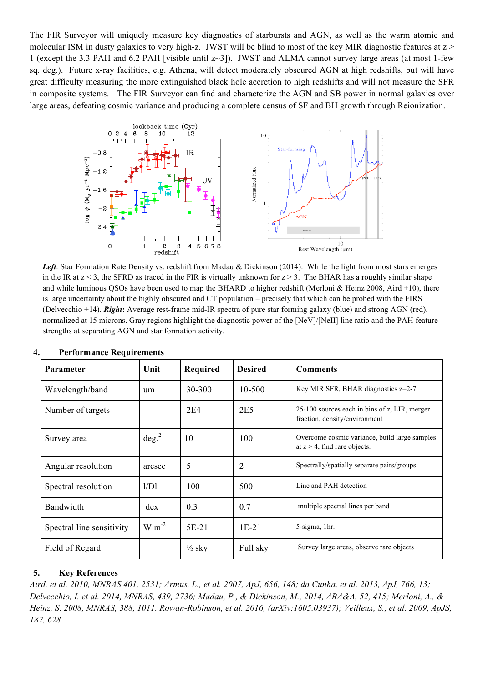The FIR Surveyor will uniquely measure key diagnostics of starbursts and AGN, as well as the warm atomic and molecular ISM in dusty galaxies to very high-z. JWST will be blind to most of the key MIR diagnostic features at  $z$  > 1 (except the 3.3 PAH and 6.2 PAH [visible until z~3]). JWST and ALMA cannot survey large areas (at most 1-few sq. deg.). Future x-ray facilities, e.g. Athena, will detect moderately obscured AGN at high redshifts, but will have great difficulty measuring the more extinguished black hole accretion to high redshifts and will not measure the SFR in composite systems. The FIR Surveyor can find and characterize the AGN and SB power in normal galaxies over large areas, defeating cosmic variance and producing a complete census of SF and BH growth through Reionization.



*Left*: Star Formation Rate Density vs. redshift from Madau & Dickinson (2014). While the light from most stars emerges in the IR at  $z < 3$ , the SFRD as traced in the FIR is virtually unknown for  $z > 3$ . The BHAR has a roughly similar shape and while luminous QSOs have been used to map the BHARD to higher redshift (Merloni & Heinz 2008, Aird +10), there is large uncertainty about the highly obscured and CT population – precisely that which can be probed with the FIRS (Delvecchio +14). *Right***:** Average rest-frame mid-IR spectra of pure star forming galaxy (blue) and strong AGN (red), normalized at 15 microns. Gray regions highlight the diagnostic power of the [NeV]/[NeII] line ratio and the PAH feature strengths at separating AGN and star formation activity.

| Parameter                 | Unit              | Required          | <b>Desired</b> | <b>Comments</b>                                                                  |  |
|---------------------------|-------------------|-------------------|----------------|----------------------------------------------------------------------------------|--|
| Wavelength/band           | um                | 30-300            | 10-500         | Key MIR SFR, BHAR diagnostics z=2-7                                              |  |
| Number of targets         |                   | 2E4               | 2E5            | 25-100 sources each in bins of z, LIR, merger<br>fraction, density/environment   |  |
| Survey area               | deg. <sup>2</sup> | 10                | 100            | Overcome cosmic variance, build large samples<br>at $z > 4$ , find rare objects. |  |
| Angular resolution        | arcsec            | 5                 | $\overline{2}$ | Spectrally/spatially separate pairs/groups                                       |  |
| Spectral resolution       | 1/D1              | 100               | 500            | Line and PAH detection                                                           |  |
| Bandwidth                 | dex               | 0.3               | 0.7            | multiple spectral lines per band                                                 |  |
| Spectral line sensitivity | $W m-2$           | $5E-21$           | $1E-21$        | 5-sigma, 1hr.                                                                    |  |
| Field of Regard           |                   | $\frac{1}{2}$ sky | Full sky       | Survey large areas, observe rare objects                                         |  |

| 4. | <b>Performance Requirements</b> |  |
|----|---------------------------------|--|
|    |                                 |  |

#### **5. Key References**

*Aird, et al. 2010, MNRAS 401, 2531; Armus, L., et al. 2007, ApJ, 656, 148; da Cunha, et al. 2013, ApJ, 766, 13; Delvecchio, I. et al. 2014, MNRAS, 439, 2736; Madau, P., & Dickinson, M., 2014, ARA&A, 52, 415; Merloni, A., & Heinz, S. 2008, MNRAS, 388, 1011. Rowan-Robinson, et al. 2016, (arXiv:1605.03937); Veilleux, S., et al. 2009, ApJS, 182, 628*